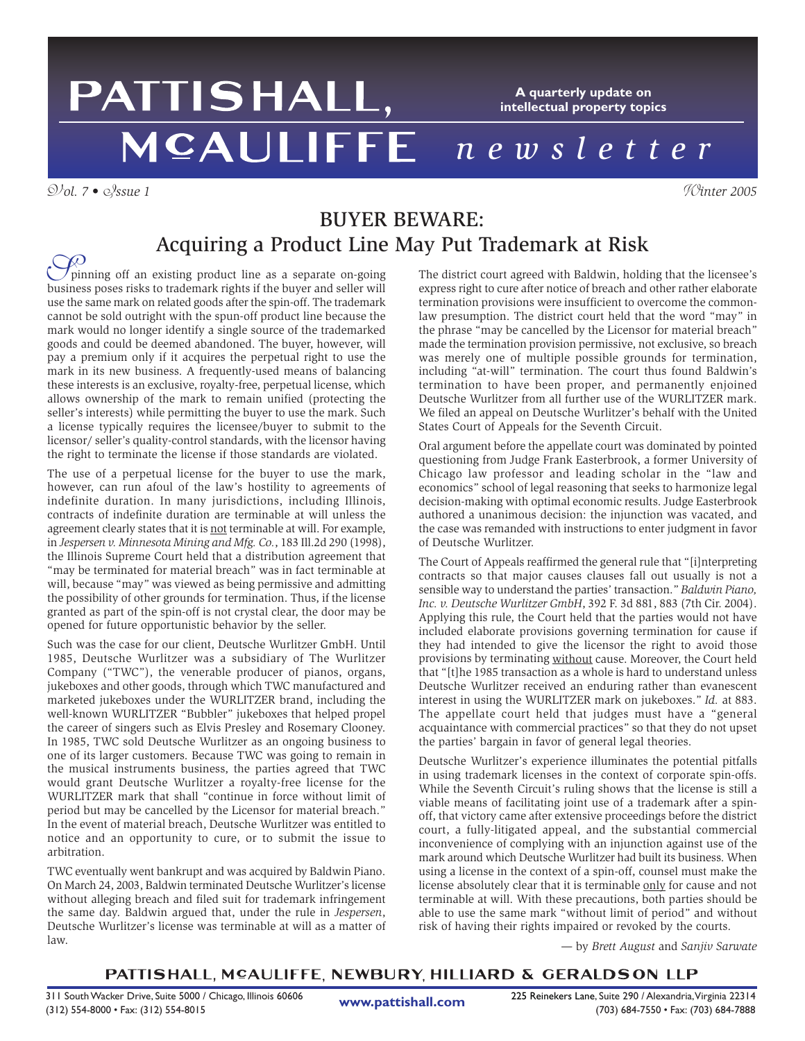## PATTISHALL, **A quarterly update on intellectual property topics** *newsletter*

V*ol. 7 •* I*ssue 1* W*inter 2005*

# BUYER BEWARE: Acquiring a Product Line May Put Trademark at Risk

pinning off an existing product line as a separate on-going  $\bigcirc$  pinning off an existing product line as a separate on-going<br>business poses risks to trademark rights if the buyer and seller will use the same mark on related goods after the spin-off. The trademark cannot be sold outright with the spun-off product line because the mark would no longer identify a single source of the trademarked goods and could be deemed abandoned. The buyer, however, will pay a premium only if it acquires the perpetual right to use the mark in its new business. A frequently-used means of balancing these interests is an exclusive, royalty-free, perpetual license, which allows ownership of the mark to remain unified (protecting the seller's interests) while permitting the buyer to use the mark. Such a license typically requires the licensee/buyer to submit to the licensor/ seller's quality-control standards, with the licensor having the right to terminate the license if those standards are violated.

The use of a perpetual license for the buyer to use the mark, however, can run afoul of the law's hostility to agreements of indefinite duration. In many jurisdictions, including Illinois, contracts of indefinite duration are terminable at will unless the agreement clearly states that it is not terminable at will. For example, in *Jespersen v. Minnesota Mining and Mfg. Co.*, 183 Ill.2d 290 (1998), the Illinois Supreme Court held that a distribution agreement that "may be terminated for material breach" was in fact terminable at will, because "may" was viewed as being permissive and admitting the possibility of other grounds for termination. Thus, if the license granted as part of the spin-off is not crystal clear, the door may be opened for future opportunistic behavior by the seller.

Such was the case for our client, Deutsche Wurlitzer GmbH. Until 1985, Deutsche Wurlitzer was a subsidiary of The Wurlitzer Company ("TWC"), the venerable producer of pianos, organs, jukeboxes and other goods, through which TWC manufactured and marketed jukeboxes under the WURLITZER brand, including the well-known WURLITZER "Bubbler" jukeboxes that helped propel the career of singers such as Elvis Presley and Rosemary Clooney. In 1985, TWC sold Deutsche Wurlitzer as an ongoing business to one of its larger customers. Because TWC was going to remain in the musical instruments business, the parties agreed that TWC would grant Deutsche Wurlitzer a royalty-free license for the WURLITZER mark that shall "continue in force without limit of period but may be cancelled by the Licensor for material breach." In the event of material breach, Deutsche Wurlitzer was entitled to notice and an opportunity to cure, or to submit the issue to arbitration.

TWC eventually went bankrupt and was acquired by Baldwin Piano. On March 24, 2003, Baldwin terminated Deutsche Wurlitzer's license without alleging breach and filed suit for trademark infringement the same day. Baldwin argued that, under the rule in *Jespersen*, Deutsche Wurlitzer's license was terminable at will as a matter of law.

The district court agreed with Baldwin, holding that the licensee's express right to cure after notice of breach and other rather elaborate termination provisions were insufficient to overcome the commonlaw presumption. The district court held that the word "may" in the phrase "may be cancelled by the Licensor for material breach" made the termination provision permissive, not exclusive, so breach was merely one of multiple possible grounds for termination, including "at-will" termination. The court thus found Baldwin's termination to have been proper, and permanently enjoined Deutsche Wurlitzer from all further use of the WURLITZER mark. We filed an appeal on Deutsche Wurlitzer's behalf with the United States Court of Appeals for the Seventh Circuit.

Oral argument before the appellate court was dominated by pointed questioning from Judge Frank Easterbrook, a former University of Chicago law professor and leading scholar in the "law and economics" school of legal reasoning that seeks to harmonize legal decision-making with optimal economic results. Judge Easterbrook authored a unanimous decision: the injunction was vacated, and the case was remanded with instructions to enter judgment in favor of Deutsche Wurlitzer.

The Court of Appeals reaffirmed the general rule that "[i]nterpreting contracts so that major causes clauses fall out usually is not a sensible way to understand the parties' transaction." *Baldwin Piano, Inc. v. Deutsche Wurlitzer GmbH*, 392 F. 3d 881, 883 (7th Cir. 2004). Applying this rule, the Court held that the parties would not have included elaborate provisions governing termination for cause if they had intended to give the licensor the right to avoid those provisions by terminating without cause. Moreover, the Court held that "[t]he 1985 transaction as a whole is hard to understand unless Deutsche Wurlitzer received an enduring rather than evanescent interest in using the WURLITZER mark on jukeboxes." *Id.* at 883. The appellate court held that judges must have a "general acquaintance with commercial practices" so that they do not upset the parties' bargain in favor of general legal theories.

Deutsche Wurlitzer's experience illuminates the potential pitfalls in using trademark licenses in the context of corporate spin-offs. While the Seventh Circuit's ruling shows that the license is still a viable means of facilitating joint use of a trademark after a spinoff, that victory came after extensive proceedings before the district court, a fully-litigated appeal, and the substantial commercial inconvenience of complying with an injunction against use of the mark around which Deutsche Wurlitzer had built its business. When using a license in the context of a spin-off, counsel must make the license absolutely clear that it is terminable only for cause and not terminable at will. With these precautions, both parties should be able to use the same mark "without limit of period" and without risk of having their rights impaired or revoked by the courts.

*—* by *Brett August* and *Sanjiv Sarwate*

### PATTISHALL, MCAULIFFE, NEWBURY, HILLIARD & GERALDSON LLP

**www.pattishall.com**